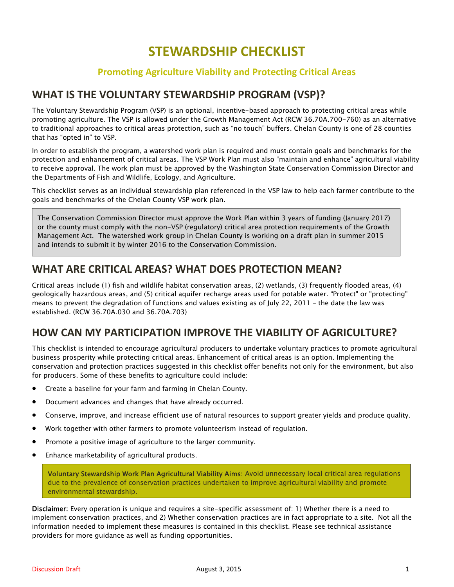# **STEWARDSHIP CHECKLIST**

## **Promoting Agriculture Viability and Protecting Critical Areas**

# **WHAT IS THE VOLUNTARY STEWARDSHIP PROGRAM (VSP)?**

The Voluntary Stewardship Program (VSP) is an optional, incentive-based approach to protecting critical areas while promoting agriculture. The VSP is allowed under the Growth Management Act (RCW 36.70A.700-760) as an alternative to traditional approaches to critical areas protection, such as "no touch" buffers. Chelan County is one of 28 counties that has "opted in" to VSP.

In order to establish the program, a watershed work plan is required and must contain goals and benchmarks for the protection and enhancement of critical areas. The VSP Work Plan must also "maintain and enhance" agricultural viability to receive approval. The work plan must be approved by the Washington State Conservation Commission Director and the Departments of Fish and Wildlife, Ecology, and Agriculture.

This checklist serves as an individual stewardship plan referenced in the VSP law to help each farmer contribute to the goals and benchmarks of the Chelan County VSP work plan.

The Conservation Commission Director must approve the Work Plan within 3 years of funding (January 2017) or the county must comply with the non-VSP (regulatory) critical area protection requirements of the Growth Management Act. The watershed work group in Chelan County is working on a draft plan in summer 2015 and intends to submit it by winter 2016 to the Conservation Commission.

# **WHAT ARE CRITICAL AREAS? WHAT DOES PROTECTION MEAN?**

Critical areas include (1) fish and wildlife habitat conservation areas, (2) wetlands, (3) frequently flooded areas, (4) geologically hazardous areas, and (5) critical aquifer recharge areas used for potable water. "Protect" or "protecting" means to prevent the degradation of functions and values existing as of July 22, 2011 – the date the law was established. (RCW 36.70A.030 and 36.70A.703)

# **HOW CAN MY PARTICIPATION IMPROVE THE VIABILITY OF AGRICULTURE?**

This checklist is intended to encourage agricultural producers to undertake voluntary practices to promote agricultural business prosperity while protecting critical areas. Enhancement of critical areas is an option. Implementing the conservation and protection practices suggested in this checklist offer benefits not only for the environment, but also for producers. Some of these benefits to agriculture could include:

- Create a baseline for your farm and farming in Chelan County.
- Document advances and changes that have already occurred.
- Conserve, improve, and increase efficient use of natural resources to support greater yields and produce quality.
- Work together with other farmers to promote volunteerism instead of regulation.
- Promote a positive image of agriculture to the larger community.
- Enhance marketability of agricultural products.

Voluntary Stewardship Work Plan Agricultural Viability Aims: Avoid unnecessary local critical area regulations due to the prevalence of conservation practices undertaken to improve agricultural viability and promote environmental stewardship.

Disclaimer: Every operation is unique and requires a site-specific assessment of: 1) Whether there is a need to implement conservation practices, and 2) Whether conservation practices are in fact appropriate to a site. Not all the information needed to implement these measures is contained in this checklist. Please see technical assistance providers for more guidance as well as funding opportunities.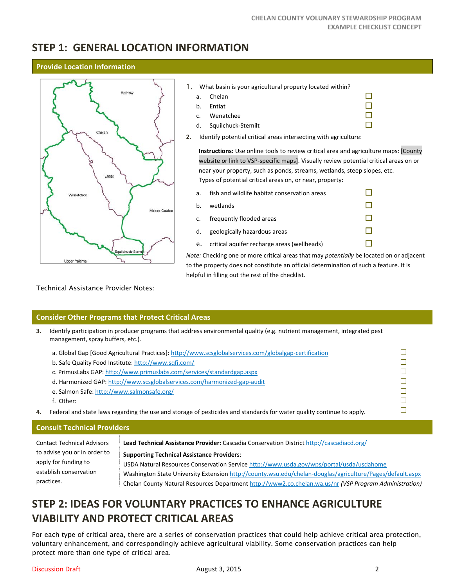# **STEP 1: GENERAL LOCATION INFORMATION**

### **Provide Location Information**



#### 1. What basin is your agricultural property located within?

- a. Chelan  $\square$
- b. Entiat  $\Box$
- c. Wenatchee  $\Box$ <br>
d. Squilchuck-Stemilt
- d. Squilchuck-Stemilt
- **2.** Identify potential critical areas intersecting with agriculture:

**Instructions:** Use online tools to review critical area and agriculture maps: [County website or link to VSP‐specific maps]. Visually review potential critical areas on or near your property, such as ponds, streams, wetlands, steep slopes, etc. Types of potential critical areas on, or near, property:

- a. fish and wildlife habitat conservation areas  $\Box$
- b. wetlands  $\Box$
- c. frequently flooded areas  $\Box$
- d. geologically hazardous areas  $\Box$
- e. critical aquifer recharge areas (wellheads)  $\Box$

*Note:* Checking one or more critical areas that may *potentially* be located on or adjacent to the property does not constitute an official determination of such a feature. It is helpful in filling out the rest of the checklist.

Technical Assistance Provider Notes:

## **Consider Other Programs that Protect Critical Areas**

**3.** Identify participation in producer programs that address environmental quality (e.g. nutrient management, integrated pest management, spray buffers, etc.).

|    | a. Global Gap [Good Agricultural Practices]: http://www.scsglobalservices.com/globalgap-certification                 |  |
|----|-----------------------------------------------------------------------------------------------------------------------|--|
|    | b. Safe Quality Food Institute: http://www.sqfi.com/                                                                  |  |
|    | c. PrimusLabs GAP: http://www.primuslabs.com/services/standardgap.aspx                                                |  |
|    | d. Harmonized GAP: http://www.scsglobalservices.com/harmonized-gap-audit                                              |  |
|    | e. Salmon Safe: http://www.salmonsafe.org/                                                                            |  |
|    | f. Other:                                                                                                             |  |
| 4. | Federal and state laws regarding the use and storage of pesticides and standards for water quality continue to apply. |  |

## **Consult Technical Providers**

| <b>Contact Technical Advisors</b> | Lead Technical Assistance Provider: Cascadia Conservation District http://cascadiacd.org/                 |
|-----------------------------------|-----------------------------------------------------------------------------------------------------------|
| to advise you or in order to      | <b>Supporting Technical Assistance Providers:</b>                                                         |
| apply for funding to              | USDA Natural Resources Conservation Service http://www.usda.gov/wps/portal/usda/usdahome                  |
| establish conservation            | Washington State University Extension http://county.wsu.edu/chelan-douglas/agriculture/Pages/default.aspx |
| practices.                        | Chelan County Natural Resources Department http://www2.co.chelan.wa.us/nr (VSP Program Administration)    |

# **STEP 2: IDEAS FOR VOLUNTARY PRACTICES TO ENHANCE AGRICULTURE VIABILITY AND PROTECT CRITICAL AREAS**

For each type of critical area, there are a series of conservation practices that could help achieve critical area protection, voluntary enhancement, and correspondingly achieve agricultural viability. Some conservation practices can help protect more than one type of critical area.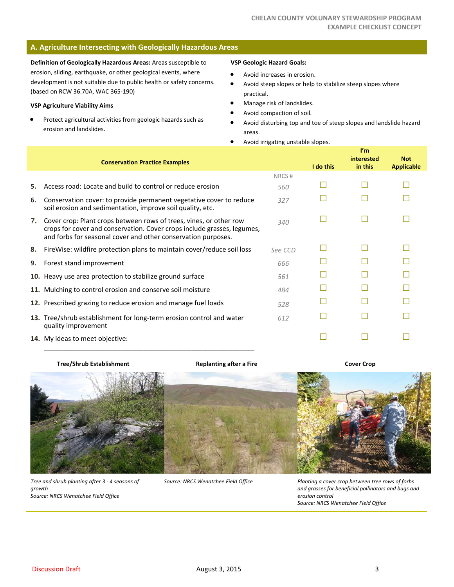## **A. Agriculture Intersecting with Geologically Hazardous Areas**

**Definition of Geologically Hazardous Areas:** Areas susceptible to erosion, sliding, earthquake, or other geological events, where development is not suitable due to public health or safety concerns. (based on RCW 36.70A, WAC 365‐190)

#### **VSP Agriculture Viability Aims**

 Protect agricultural activities from geologic hazards such as erosion and landslides.

#### **VSP Geologic Hazard Goals:**

- Avoid increases in erosion.
- Avoid steep slopes or help to stabilize steep slopes where practical.
- Manage risk of landslides.
- Avoid compaction of soil.
- Avoid disturbing top and toe of steep slopes and landslide hazard areas.
- Avoid irrigating unstable slopes.

|    | <b>Conservation Practice Examples</b>                                                                                                                                                                          |         | I do this | $\mathbf{I}'\mathbf{m}$<br>interested<br>in this | <b>Not</b><br><b>Applicable</b> |
|----|----------------------------------------------------------------------------------------------------------------------------------------------------------------------------------------------------------------|---------|-----------|--------------------------------------------------|---------------------------------|
|    |                                                                                                                                                                                                                | NRCS#   |           |                                                  |                                 |
| 5. | Access road: Locate and build to control or reduce erosion                                                                                                                                                     | 560     |           |                                                  |                                 |
| 6. | Conservation cover: to provide permanent vegetative cover to reduce<br>soil erosion and sedimentation, improve soil quality, etc.                                                                              | 327     |           |                                                  |                                 |
| 7. | Cover crop: Plant crops between rows of trees, vines, or other row<br>crops for cover and conservation. Cover crops include grasses, legumes,<br>and forbs for seasonal cover and other conservation purposes. | 340     |           |                                                  |                                 |
| 8. | FireWise: wildfire protection plans to maintain cover/reduce soil loss                                                                                                                                         | See CCD |           |                                                  |                                 |
| 9. | Forest stand improvement                                                                                                                                                                                       | 666     |           |                                                  |                                 |
|    | 10. Heavy use area protection to stabilize ground surface                                                                                                                                                      | 561     |           |                                                  |                                 |
|    | 11. Mulching to control erosion and conserve soil moisture                                                                                                                                                     | 484     |           |                                                  |                                 |
|    | 12. Prescribed grazing to reduce erosion and manage fuel loads                                                                                                                                                 | 528     |           |                                                  |                                 |
|    | 13. Tree/shrub establishment for long-term erosion control and water<br>quality improvement                                                                                                                    | 612     |           |                                                  |                                 |
|    | <b>14.</b> My ideas to meet objective:                                                                                                                                                                         |         |           |                                                  |                                 |

#### **Tree/Shrub Establishment**

\_\_\_\_\_\_\_\_\_\_\_\_\_\_\_\_\_\_\_\_\_\_\_\_\_\_\_\_\_\_\_\_\_\_\_\_\_\_\_\_\_\_\_\_\_\_\_\_\_\_\_\_\_\_\_\_\_

#### **Replanting after a Fire**

**Cover Crop**



*Tree and shrub planting after 3 ‐ 4 seasons of growth Source: NRCS Wenatchee Field Office*

*Source: NRCS Wenatchee Field Office*

*Planting a cover crop between tree rows of forbs and grasses for beneficial pollinators and bugs and erosion control Source: NRCS Wenatchee Field Office*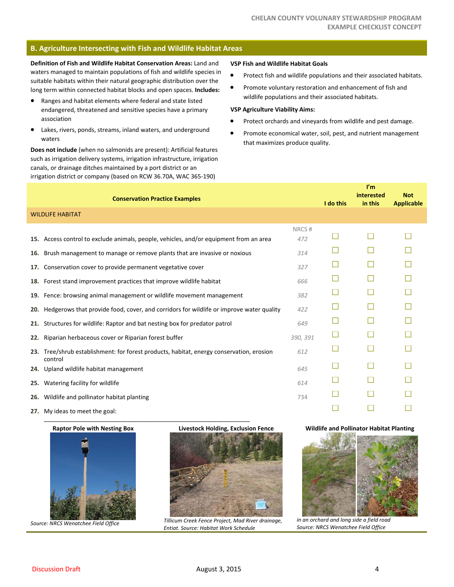## **B. Agriculture Intersecting with Fish and Wildlife Habitat Areas**

**Definition of Fish and Wildlife Habitat Conservation Areas:** Land and waters managed to maintain populations of fish and wildlife species in suitable habitats within their natural geographic distribution over the long term within connected habitat blocks and open spaces. **Includes:**

- Ranges and habitat elements where federal and state listed endangered, threatened and sensitive species have a primary association
- Lakes, rivers, ponds, streams, inland waters, and underground waters

**Does not include** (when no salmonids are present): Artificial features such as irrigation delivery systems, irrigation infrastructure, irrigation canals, or drainage ditches maintained by a port district or an irrigation district or company (based on RCW 36.70A, WAC 365‐190)

#### **VSP Fish and Wildlife Habitat Goals**

- **•** Protect fish and wildlife populations and their associated habitats.
- **•** Promote voluntary restoration and enhancement of fish and wildlife populations and their associated habitats.

#### **VSP Agriculture Viability Aims:**

- Protect orchards and vineyards from wildlife and pest damage.
- Promote economical water, soil, pest, and nutrient management that maximizes produce quality.

|     | <b>Conservation Practice Examples</b>                                                           |              | I do this | $\mathbf{I}'\mathbf{m}$<br>interested<br>in this | <b>Not</b><br><b>Applicable</b> |
|-----|-------------------------------------------------------------------------------------------------|--------------|-----------|--------------------------------------------------|---------------------------------|
|     | <b>WILDLIFE HABITAT</b>                                                                         |              |           |                                                  |                                 |
|     | 15. Access control to exclude animals, people, vehicles, and/or equipment from an area          | NRCS#<br>472 |           |                                                  |                                 |
| 16. | Brush management to manage or remove plants that are invasive or noxious                        | 314          |           |                                                  |                                 |
|     | 17. Conservation cover to provide permanent vegetative cover                                    | 327          |           |                                                  |                                 |
|     | 18. Forest stand improvement practices that improve wildlife habitat                            | 666          |           |                                                  |                                 |
|     | 19. Fence: browsing animal management or wildlife movement management                           | 382          |           |                                                  |                                 |
| 20. | Hedgerows that provide food, cover, and corridors for wildlife or improve water quality         | 422          |           |                                                  |                                 |
| 21. | Structures for wildlife: Raptor and bat nesting box for predator patrol                         | 649          |           |                                                  |                                 |
| 22. | Riparian herbaceous cover or Riparian forest buffer                                             | 390, 391     |           |                                                  |                                 |
| 23. | Tree/shrub establishment: for forest products, habitat, energy conservation, erosion<br>control | 612          |           |                                                  |                                 |
| 24. | Upland wildlife habitat management                                                              | 645          |           |                                                  |                                 |
| 25. | Watering facility for wildlife                                                                  | 614          |           |                                                  |                                 |
|     | 26. Wildlife and pollinator habitat planting                                                    | 734          |           |                                                  |                                 |
|     | 27. My ideas to meet the goal:                                                                  |              |           |                                                  |                                 |

**27.** My ideas to meet the goal: \_\_\_\_\_\_\_\_\_\_\_\_\_\_\_\_\_\_\_\_\_\_\_\_\_\_\_\_\_\_\_\_\_\_\_\_\_\_\_\_\_\_\_\_\_\_\_\_\_\_\_\_\_\_\_\_\_\_\_\_\_\_

**Raptor Pole with Nesting Box**



*Source: NRCS Wenatchee Field Office*



*Tillicum Creek Fence Project, Mad River drainage, Entiat. Source: Habitat Work Schedule*

#### **Wildlife and Pollinator Habitat Planting**



*in an orchard and long side a field road Source: NRCS Wenatchee Field Office*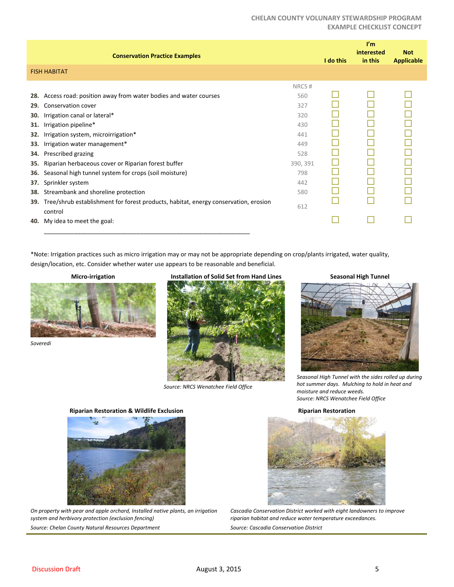### **CHELAN COUNTY VOLUNARY STEWARDSHIP PROGRAM EXAMPLE CHECKLIST CONCEPT**

|                                                                           | <b>Conservation Practice Examples</b>                                                                                                                                                                                                                                                                                                                                                                                |                                                                                         | I do this | I'm<br>interested<br>in this | <b>Not</b><br><b>Applicable</b> |
|---------------------------------------------------------------------------|----------------------------------------------------------------------------------------------------------------------------------------------------------------------------------------------------------------------------------------------------------------------------------------------------------------------------------------------------------------------------------------------------------------------|-----------------------------------------------------------------------------------------|-----------|------------------------------|---------------------------------|
|                                                                           | <b>FISH HABITAT</b>                                                                                                                                                                                                                                                                                                                                                                                                  |                                                                                         |           |                              |                                 |
| 28.<br>29.<br>30.<br>31.<br>32.<br>33.<br>34.<br>35.<br>36.<br>37.<br>38. | Access road: position away from water bodies and water courses<br>Conservation cover<br>Irrigation canal or lateral*<br>Irrigation pipeline*<br>Irrigation system, microirrigation*<br>Irrigation water management*<br>Prescribed grazing<br>Riparian herbaceous cover or Riparian forest buffer<br>Seasonal high tunnel system for crops (soil moisture)<br>Sprinkler system<br>Streambank and shoreline protection | NRCS#<br>560<br>327<br>320<br>430<br>441<br>449<br>528<br>390, 391<br>798<br>442<br>580 |           |                              |                                 |
| 39.<br>40.                                                                | Tree/shrub establishment for forest products, habitat, energy conservation, erosion<br>control<br>My idea to meet the goal:                                                                                                                                                                                                                                                                                          | 612                                                                                     |           |                              |                                 |

\*Note: Irrigation practices such as micro irrigation may or may not be appropriate depending on crop/plants irrigated, water quality, design/location, etc. Consider whether water use appears to be reasonable and beneficial.

### **Micro‐irrigation**



*Soveredi*

## **Installation of Solid Set from Hand Lines**



*Source: NRCS Wenatchee Field Office*

### **Seasonal High Tunnel**



*Seasonal High Tunnel with the sides rolled up during hot summer days. Mulching to hold in heat and moisture and reduce weeds. Source: NRCS Wenatchee Field Office*

#### **Riparian Restoration**



**Riparian Restoration & Wildlife Exclusion**

*On property with pear and apple orchard, Installed native plants, an irrigation system and herbivory protection (exclusion fencing) Source: Chelan County Natural Resources Department*



*Cascadia Conservation District worked with eight landowners to improve riparian habitat and reduce water temperature exceedances. Source: Cascadia Conservation District*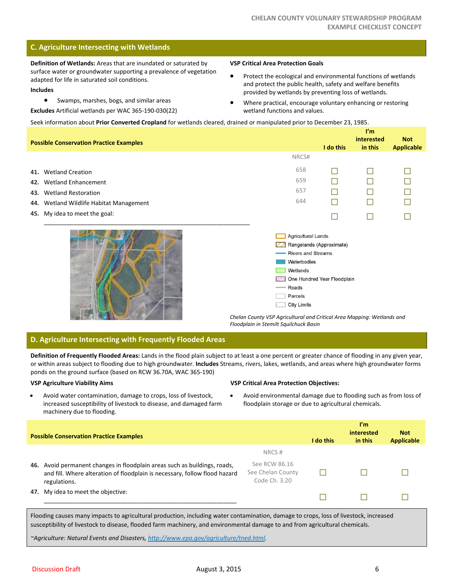## **C. Agriculture Intersecting with Wetlands**

**Definition of Wetlands:** Areas that are inundated or saturated by surface water or groundwater supporting a prevalence of vegetation adapted for life in saturated soil conditions.

#### **Includes**

Swamps, marshes, bogs, and similar areas

**Excludes** Artificial wetlands per WAC 365‐190‐030(22)

#### **VSP Critical Area Protection Goals**

- Protect the ecological and environmental functions of wetlands and protect the public health, safety and welfare benefits provided by wetlands by preventing loss of wetlands.
- Where practical, encourage voluntary enhancing or restoring wetland functions and values.

Seek information about **Prior Converted Cropland** for wetlands cleared, drained or manipulated prior to December 23, 1985.

|            | <b>Possible Conservation Practice Examples</b>                    |                                                                                                                                                                                       | I do this | I'm<br>interested<br>in this | <b>Not</b><br><b>Applicable</b> |
|------------|-------------------------------------------------------------------|---------------------------------------------------------------------------------------------------------------------------------------------------------------------------------------|-----------|------------------------------|---------------------------------|
|            |                                                                   | NRCS#                                                                                                                                                                                 |           |                              |                                 |
| 41.        | <b>Wetland Creation</b><br>42. Wetland Enhancement                | 658<br>659                                                                                                                                                                            | Г         |                              |                                 |
| 43.<br>44. | <b>Wetland Restoration</b><br>Wetland Wildlife Habitat Management | 657<br>644                                                                                                                                                                            |           |                              |                                 |
| 45.        | My idea to meet the goal:                                         |                                                                                                                                                                                       |           |                              |                                 |
|            |                                                                   | <b>Agricultural Lands</b><br>Rangelands (Approximate)<br><b>Rivers and Streams</b><br>Waterbodies<br>Wetlands<br>我深<br>One Hundred Year Floodplain<br>Roads<br>Parcels<br>City Limits |           |                              |                                 |

*Chelan County VSP Agricultural and Critical Area Mapping: Wetlands and Floodplain in Stemilt Squilchuck Basin*

### **D. Agriculture Intersecting with Frequently Flooded Areas**

**Definition of Frequently Flooded Areas:** Lands in the flood plain subject to at least a one percent or greater chance of flooding in any given year, or within areas subject to flooding due to high groundwater. **Includes** Streams, rivers, lakes, wetlands, and areas where high groundwater forms ponds on the ground surface (based on RCW 36.70A, WAC 365‐190)

#### **VSP Agriculture Viability Aims**

 Avoid water contamination, damage to crops, loss of livestock, increased susceptibility of livestock to disease, and damaged farm machinery due to flooding.

#### **VSP Critical Area Protection Objectives:**

 Avoid environmental damage due to flooding such as from loss of floodplain storage or due to agricultural chemicals.

| <b>Possible Conservation Practice Examples</b>                                                                                                                                                                                  |                                                     | I do this | ľm.<br><b>interested</b><br>in this       | <b>Not</b><br><b>Applicable</b> |
|---------------------------------------------------------------------------------------------------------------------------------------------------------------------------------------------------------------------------------|-----------------------------------------------------|-----------|-------------------------------------------|---------------------------------|
|                                                                                                                                                                                                                                 | NRCS#                                               |           |                                           |                                 |
| Avoid permanent changes in floodplain areas such as buildings, roads,<br>46.<br>and fill. Where alteration of floodplain is necessary, follow flood hazard<br>regulations.                                                      | See RCW 86.16<br>See Chelan County<br>Code Ch. 3.20 |           |                                           |                                 |
| 47. My idea to meet the objective:                                                                                                                                                                                              |                                                     |           |                                           |                                 |
| $\sim$ . The contract of the contract of the contract of the contract of the contract of the contract of the contract of the contract of the contract of the contract of the contract of the contract of the contract of the co |                                                     |           | $\sim$ $\sim$ $\sim$ $\sim$ $\sim$ $\sim$ |                                 |

Flooding causes many impacts to agricultural production, including water contamination, damage to crops, loss of livestock, increased susceptibility of livestock to disease, flooded farm machinery, and environmental damage to and from agricultural chemicals.

*~Agriculture: Natural Events and Disasters, http://www.epa.gov/agriculture/tned.html.*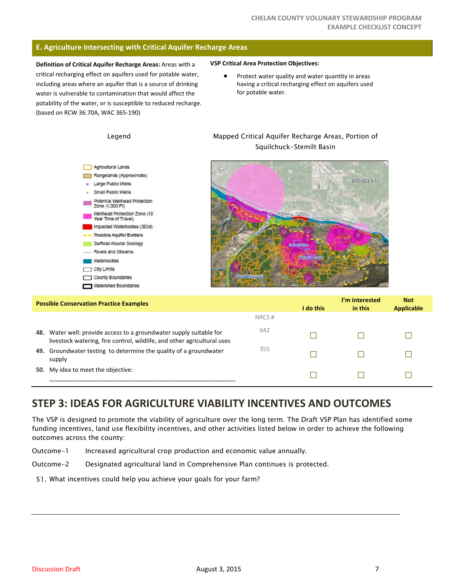### **E. Agriculture Intersecting with Critical Aquifer Recharge Areas**

**Definition of Critical Aquifer Recharge Areas:** Areas with a critical recharging effect on aquifers used for potable water, including areas where an aquifer that is a source of drinking water is vulnerable to contamination that would affect the potability of the water, or is susceptible to reduced recharge. (based on RCW 36.70A, WAC 365‐190)

#### **VSP Critical Area Protection Objectives:**

• Protect water quality and water quantity in areas having a critical recharging effect on aquifers used for potable water.



Legend Mapped Critical Aquifer Recharge Areas, Portion of

| <b>Possible Conservation Practice Examples</b><br>I do this |                                                                                                                                            |       |  |  | <b>Not</b><br><b>Applicable</b> |
|-------------------------------------------------------------|--------------------------------------------------------------------------------------------------------------------------------------------|-------|--|--|---------------------------------|
|                                                             |                                                                                                                                            | NRCS# |  |  |                                 |
| 48.                                                         | Water well: provide access to a groundwater supply suitable for<br>livestock watering, fire control, wildlife, and other agricultural uses | 642   |  |  |                                 |
| 49.                                                         | Groundwater testing to determine the quality of a groundwater<br>supply                                                                    | 355   |  |  |                                 |
|                                                             | <b>50.</b> My idea to meet the objective:                                                                                                  |       |  |  |                                 |

# **STEP 3: IDEAS FOR AGRICULTURE VIABILITY INCENTIVES AND OUTCOMES**

The VSP is designed to promote the viability of agriculture over the long term. The Draft VSP Plan has identified some funding incentives, land use flexibility incentives, and other activities listed below in order to achieve the following outcomes across the county:

- Outcome-1 Increased agricultural crop production and economic value annually.
- Outcome-2 Designated agricultural land in Comprehensive Plan continues is protected.
- 51. What incentives could help you achieve your goals for your farm?